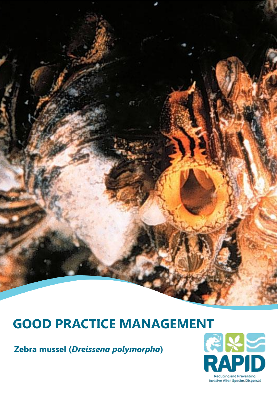# **GOOD PRACTICE MANAGEMENT**<br> **Zebra mussel (Dreissena polymorpha)**<br> **RAPID**

**Zebra mussel (***Dreissena polymorpha***)** 

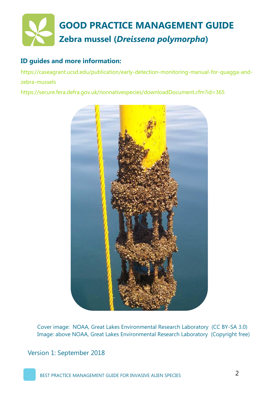

## **ID guides and more information:**

https://caseagrant.ucsd.edu/publication/early-detection-monitoring-manual-for-quagga-andzebra-mussels

https://secure.fera.defra.gov.uk/nonnativespecies/downloadDocument.cfm?id=365



Cover image: NOAA, Great Lakes Environmental Research Laboratory (CC BY-SA 3.0) Image: above NOAA, Great Lakes Environmental Research Laboratory (Copyright free)

Version 1: September 2018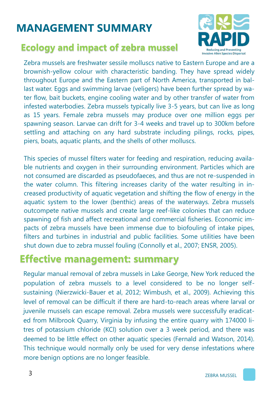# **MANAGEMENT SUMMARY**

## **Ecology and impact of zebra mussel**



Zebra mussels are freshwater sessile molluscs native to Eastern Europe and are a brownish-yellow colour with characteristic banding. They have spread widely throughout Europe and the Eastern part of North America, transported in ballast water. Eggs and swimming larvae (veligers) have been further spread by water flow, bait buckets, engine cooling water and by other transfer of water from infested waterbodies. Zebra mussels typically live 3-5 years, but can live as long as 15 years. Female zebra mussels may produce over one million eggs per spawning season. Larvae can drift for 3-4 weeks and travel up to 300km before settling and attaching on any hard substrate including pilings, rocks, pipes, piers, boats, aquatic plants, and the shells of other molluscs.

This species of mussel filters water for feeding and respiration, reducing available nutrients and oxygen in their surrounding environment. Particles which are not consumed are discarded as pseudofaeces, and thus are not re-suspended in the water column. This filtering increases clarity of the water resulting in increased productivity of aquatic vegetation and shifting the flow of energy in the aquatic system to the lower (benthic) areas of the waterways. Zebra mussels outcompete native mussels and create large reef-like colonies that can reduce spawning of fish and affect recreational and commercial fisheries. Economic impacts of zebra mussels have been immense due to biofouling of intake pipes, filters and turbines in industrial and public facilities. Some utilities have been shut down due to zebra mussel fouling (Connolly et al., 2007; ENSR, 2005).

## **Effective management: summary**

Regular manual removal of zebra mussels in Lake George, New York reduced the population of zebra mussels to a level considered to be no longer selfsustaining (Nierzwicki-Bauer et al, 2012; Wimbush, et al., 2009). Achieving this level of removal can be difficult if there are hard-to-reach areas where larval or juvenile mussels can escape removal. Zebra mussels were successfully eradicated from Milbrook Quarry, Virginia by infusing the entire quarry with 174000 litres of potassium chloride (KCl) solution over a 3 week period, and there was deemed to be little effect on other aquatic species (Fernald and Watson, 2014). This technique would normally only be used for very dense infestations where more benign options are no longer feasible.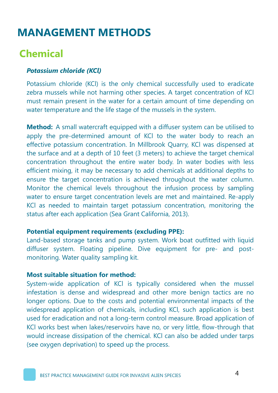## **Chemical**

#### *Potassium chloride (KCl)*

Potassium chloride (KCl) is the only chemical successfully used to eradicate zebra mussels while not harming other species. A target concentration of KCl must remain present in the water for a certain amount of time depending on water temperature and the life stage of the mussels in the system.

**Method:** A small watercraft equipped with a diffuser system can be utilised to apply the pre-determined amount of KCl to the water body to reach an effective potassium concentration. In Millbrook Quarry, KCl was dispensed at the surface and at a depth of 10 feet (3 meters) to achieve the target chemical concentration throughout the entire water body. In water bodies with less efficient mixing, it may be necessary to add chemicals at additional depths to ensure the target concentration is achieved throughout the water column. Monitor the chemical levels throughout the infusion process by sampling water to ensure target concentration levels are met and maintained. Re-apply KCl as needed to maintain target potassium concentration, monitoring the status after each application (Sea Grant California, 2013).

#### **Potential equipment requirements (excluding PPE):**

Land-based storage tanks and pump system. Work boat outfitted with liquid diffuser system. Floating pipeline. Dive equipment for pre- and postmonitoring. Water quality sampling kit.

#### **Most suitable situation for method:**

System-wide application of KCl is typically considered when the mussel infestation is dense and widespread and other more benign tactics are no longer options. Due to the costs and potential environmental impacts of the widespread application of chemicals, including KCl, such application is best used for eradication and not a long-term control measure. Broad application of KCl works best when lakes/reservoirs have no, or very little, flow-through that would increase dissipation of the chemical. KCl can also be added under tarps (see oxygen deprivation) to speed up the process.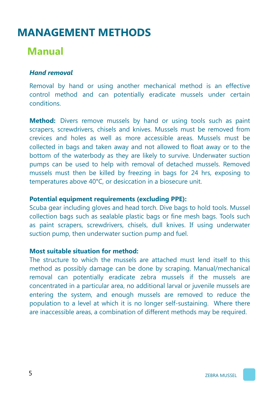## **Manual**

#### *Hand removal*

Removal by hand or using another mechanical method is an effective control method and can potentially eradicate mussels under certain conditions.

**Method:** Divers remove mussels by hand or using tools such as paint scrapers, screwdrivers, chisels and knives. Mussels must be removed from crevices and holes as well as more accessible areas. Mussels must be collected in bags and taken away and not allowed to float away or to the bottom of the waterbody as they are likely to survive. Underwater suction pumps can be used to help with removal of detached mussels. Removed mussels must then be killed by freezing in bags for 24 hrs, exposing to temperatures above 40°C, or desiccation in a biosecure unit.

#### **Potential equipment requirements (excluding PPE):**

Scuba gear including gloves and head torch. Dive bags to hold tools. Mussel collection bags such as sealable plastic bags or fine mesh bags. Tools such as paint scrapers, screwdrivers, chisels, dull knives. If using underwater suction pump, then underwater suction pump and fuel.

#### **Most suitable situation for method:**

The structure to which the mussels are attached must lend itself to this method as possibly damage can be done by scraping. Manual/mechanical removal can potentially eradicate zebra mussels if the mussels are concentrated in a particular area, no additional larval or juvenile mussels are entering the system, and enough mussels are removed to reduce the population to a level at which it is no longer self-sustaining. Where there are inaccessible areas, a combination of different methods may be required.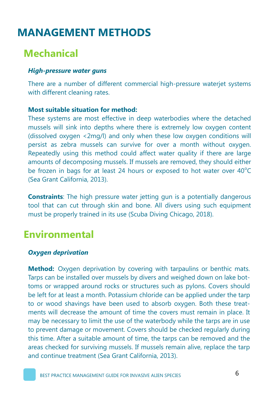## **Mechanical**

#### *High-pressure water guns*

There are a number of different commercial high-pressure waterjet systems with different cleaning rates.

#### **Most suitable situation for method:**

These systems are most effective in deep waterbodies where the detached mussels will sink into depths where there is extremely low oxygen content (dissolved oxygen <2mg/l) and only when these low oxygen conditions will persist as zebra mussels can survive for over a month without oxygen. Repeatedly using this method could affect water quality if there are large amounts of decomposing mussels. If mussels are removed, they should either be frozen in bags for at least 24 hours or exposed to hot water over  $40^{\circ}$ C (Sea Grant California, 2013).

**Constraints**: The high pressure water jetting gun is a potentially dangerous tool that can cut through skin and bone. All divers using such equipment must be properly trained in its use (Scuba Diving Chicago, 2018).

## **Environmental**

#### *Oxygen deprivation*

**Method:** Oxygen deprivation by covering with tarpaulins or benthic mats. Tarps can be installed over mussels by divers and weighed down on lake bottoms or wrapped around rocks or structures such as pylons. Covers should be left for at least a month. Potassium chloride can be applied under the tarp to or wood shavings have been used to absorb oxygen. Both these treatments will decrease the amount of time the covers must remain in place. It may be necessary to limit the use of the waterbody while the tarps are in use to prevent damage or movement. Covers should be checked regularly during this time. After a suitable amount of time, the tarps can be removed and the areas checked for surviving mussels. If mussels remain alive, replace the tarp and continue treatment (Sea Grant California, 2013).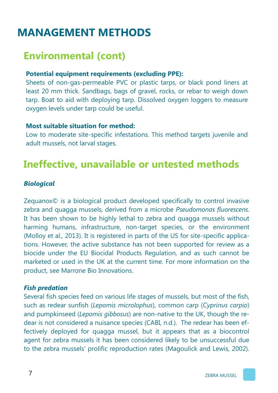# **Environmental (cont)**

## **Potential equipment requirements (excluding PPE):**

Sheets of non-gas-permeable PVC or plastic tarps, or black pond liners at least 20 mm thick. Sandbags, bags of gravel, rocks, or rebar to weigh down tarp. Boat to aid with deploying tarp. Dissolved oxygen loggers to measure oxygen levels under tarp could be useful.

### **Most suitable situation for method:**

Low to moderate site-specific infestations. This method targets juvenile and adult mussels, not larval stages.

# **Ineffective, unavailable or untested methods**

## *Biological*

Zequanox© is a biological product developed specifically to control invasive zebra and quagga mussels, derived from a microbe *Pseudomonas fluorescens*. It has been shown to be highly lethal to zebra and quagga mussels without harming humans, infrastructure, non-target species, or the environment (Molloy et al., 2013). It is registered in parts of the US for site-specific applications. However, the active substance has not been supported for review as a biocide under the EU Biocidal Products Regulation, and as such cannot be marketed or used in the UK at the current time. For more information on the product, see Marrone Bio Innovations.

### *Fish predation*

Several fish species feed on various life stages of mussels, but most of the fish, such as redear sunfish (*Lepomis microlophus*), common carp (*Cyprinus carpio*) and pumpkinseed (*Lepomis gibbosus*) are non-native to the UK, though the redear is not considered a nuisance species (CABI, n.d.). The redear has been effectively deployed for quagga mussel, but it appears that as a biocontrol agent for zebra mussels it has been considered likely to be unsuccessful due to the zebra mussels' prolific reproduction rates (Magoulick and Lewis, 2002).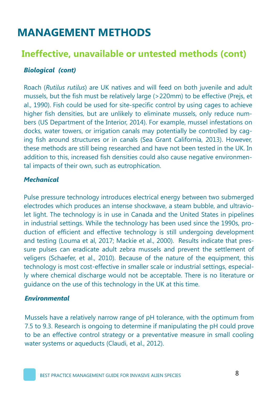## **Ineffective, unavailable or untested methods (cont)**

## *Biological (cont)*

Roach (*Rutilus rutilus*) are UK natives and will feed on both juvenile and adult mussels, but the fish must be relatively large (>220mm) to be effective (Prejs, et al., 1990). Fish could be used for site-specific control by using cages to achieve higher fish densities, but are unlikely to eliminate mussels, only reduce numbers (US Department of the Interior, 2014). For example, mussel infestations on docks, water towers, or irrigation canals may potentially be controlled by caging fish around structures or in canals (Sea Grant California, 2013). However, these methods are still being researched and have not been tested in the UK. In addition to this, increased fish densities could also cause negative environmental impacts of their own, such as eutrophication.

### *Mechanical*

Pulse pressure technology introduces electrical energy between two submerged electrodes which produces an intense shockwave, a steam bubble, and ultraviolet light. The technology is in use in Canada and the United States in pipelines in industrial settings. While the technology has been used since the 1990s, production of efficient and effective technology is still undergoing development and testing (Louma et al, 2017; Mackie et al., 2000). Results indicate that pressure pulses can eradicate adult zebra mussels and prevent the settlement of veligers (Schaefer, et al., 2010). Because of the nature of the equipment, this technology is most cost-effective in smaller scale or industrial settings, especially where chemical discharge would not be acceptable. There is no literature or guidance on the use of this technology in the UK at this time.

#### *Environmental*

Mussels have a relatively narrow range of pH tolerance, with the optimum from 7.5 to 9.3. Research is ongoing to determine if manipulating the pH could prove to be an effective control strategy or a preventative measure in small cooling water systems or aqueducts (Claudi, et al., 2012).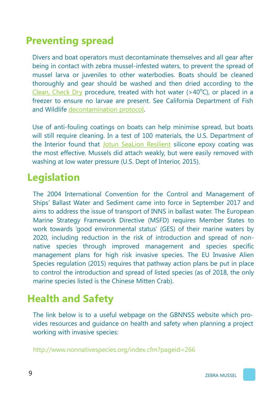## **Preventing spread**

Divers and boat operators must decontaminate themselves and all gear after being in contact with zebra mussel-infested waters, to prevent the spread of mussel larva or juveniles to other waterbodies. Boats should be cleaned thoroughly and gear should be washed and then dried according to the [Clean, Check Dry](http://www.nonnativespecies.org/checkcleandry/) procedure, treated with hot water  $(>40^{\circ}C)$ , or placed in a freezer to ensure no larvae are present. See California Department of Fish and Wildlife [decontamination protocol.](https://nrm.dfg.ca.gov/FileHandler.ashx?DocumentID=43333)

Use of anti-fouling coatings on boats can help minimise spread, but boats will still require cleaning. In a test of 100 materials, the U.S. Department of the Interior found that [Jotun SeaLion Resilient](https://www.jotun.com/kw/en/b2b/paintsandcoatings/products/SeaLion-Resilient.aspx) silicone epoxy coating was the most effective. Mussels did attach weakly, but were easily removed with washing at low water pressure (U.S. Dept of Interior, 2015).

## **Legislation**

The 2004 International Convention for the Control and Management of Ships' Ballast Water and Sediment came into force in September 2017 and aims to address the issue of transport of INNS in ballast water. The European Marine Strategy Framework Directive (MSFD) requires Member States to work towards 'good environmental status' (GES) of their marine waters by 2020, including reduction in the risk of introduction and spread of nonnative species through improved management and species specific management plans for high risk invasive species. The EU Invasive Alien Species regulation (2015) requires that pathway action plans be put in place to control the introduction and spread of listed species (as of 2018, the only marine species listed is the Chinese Mitten Crab).

# **Health and Safety**

The link below is to a useful webpage on the GBNNSS website which provides resources and guidance on health and safety when planning a project working with invasive species:

http://www.nonnativespecies.org/index.cfm?pageid=266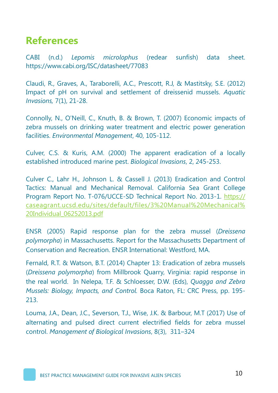## **References**

CABI (n.d.) *Lepomis microlophus* (redear sunfish) data sheet. https://www.cabi.org/ISC/datasheet/77083

Claudi, R., Graves, A., Taraborelli, A.C., Prescott, R.J, & Mastitsky, S.E. (2012) Impact of pH on survival and settlement of dreissenid mussels. *Aquatic Invasions,* 7(1), 21-28.

Connolly, N., O'Neill, C., Knuth, B. & Brown, T. (2007) Economic impacts of zebra mussels on drinking water treatment and electric power generation facilities. *Environmental Management*, 40, 105-112.

Culver, C.S. & Kuris, A.M. (2000) The apparent eradication of a locally established introduced marine pest. *Biological Invasions*, 2, 245-253.

Culver C., Lahr H., Johnson L. & Cassell J. (2013) Eradication and Control Tactics: Manual and Mechanical Removal. California Sea Grant College Program Report No. T-076/UCCE-SD Technical Report No. 2013-1. [https://](https://caseagrant.ucsd.edu/sites/default/files/3%20Manual%20Mechanical%20Individual_06252013.pdf) [caseagrant.ucsd.edu/sites/default/files/3%20Manual%20Mechanical%](https://caseagrant.ucsd.edu/sites/default/files/3%20Manual%20Mechanical%20Individual_06252013.pdf) [20Individual\\_06252013.pdf](https://caseagrant.ucsd.edu/sites/default/files/3%20Manual%20Mechanical%20Individual_06252013.pdf)

ENSR (2005) Rapid response plan for the zebra mussel (*Dreissena polymorpha*) in Massachusetts. Report for the Massachusetts Department of Conservation and Recreation. ENSR International: Westford, MA.

Fernald, R.T. & Watson, B.T. (2014) Chapter 13: Eradication of zebra mussels (*Dreissena polymorpha*) from Millbrook Quarry, Virginia: rapid response in the real world. In Nelepa, T.F. & Schloesser, D.W. (Eds), *Quagga and Zebra Mussels: Biology, Impacts, and Control.* Boca Raton, FL: CRC Press, pp. 195- 213.

Louma, J.A., Dean, J.C., Severson, T.J., Wise, J.K. & Barbour, M.T (2017) Use of alternating and pulsed direct current electrified fields for zebra mussel control. *Management of Biological Invasions*, 8(3), 311–324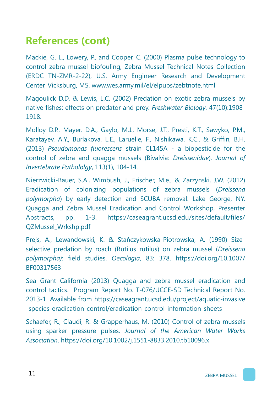# **References (cont)**

Mackie, G. L., Lowery, P., and Cooper, C. (2000) Plasma pulse technology to control zebra mussel biofouling, Zebra Mussel Technical Notes Collection (ERDC TN-ZMR-2-22), U.S. Army Engineer Research and Development Center, Vicksburg, MS. www.wes.army.mil/el/elpubs/zebtnote.html

Magoulick D.D. & Lewis, L.C. (2002) Predation on exotic zebra mussels by native fishes: effects on predator and prey. *Freshwater Biology*, 47(10):1908- 1918.

Molloy D.P., Mayer, D.A., Gaylo, M.J., Morse, J.T., Presti, K.T., Sawyko, P.M., Karatayev, A.Y., Burlakova, L.E., Laruelle, F., Nishikawa, K.C., & Griffin, B.H. (2013) *Pseudomonas fluorescens* strain CL145A - a biopesticide for the control of zebra and quagga mussels (Bivalvia: *Dreissenidae*). *Journal of Invertebrate Pathololgy*, 113(1), 104-14.

Nierzwicki-Bauer, S.A., Wimbush, J., Frischer, M.e., & Zarzynski, J.W. (2012) Eradication of colonizing populations of zebra mussels (*Dreissena polymorpha*) by early detection and SCUBA removal: Lake George, NY. Quagga and Zebra Mussel Eradication and Control Workshop, Presenter Abstracts, pp. 1-3. https://caseagrant.ucsd.edu/sites/default/files/ QZMussel\_Wrkshp.pdf

Prejs, A., Lewandowski, K. & Stańczykowska-Piotrowska, A. (1990) Sizeselective predation by roach (Rutilus rutilus) on zebra mussel (*Dreissena polymorpha)*: field studies. *Oecologia*, 83: 378. https://doi.org/10.1007/ BF00317563

Sea Grant California (2013) Quagga and zebra mussel eradication and control tactics. Program Report No. T‐076/UCCE-SD Technical Report No. 2013-1. Available from https://caseagrant.ucsd.edu/project/aquatic-invasive -species-eradication-control/eradication-control-information-sheets

Schaefer, R., Claudi, R. & Grapperhaus, M. (2010) Control of zebra mussels using sparker pressure pulses. *Journal of the American Water Works Association*. https://doi.org/10.1002/j.1551-8833.2010.tb10096.x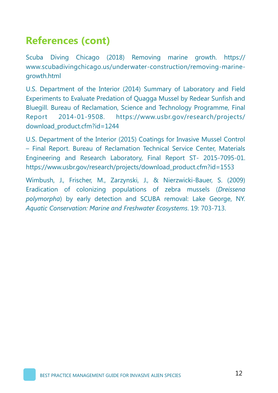# **References (cont)**

Scuba Diving Chicago (2018) Removing marine growth. https:// www.scubadivingchicago.us/underwater-construction/removing-marinegrowth.html

U.S. Department of the Interior (2014) Summary of Laboratory and Field Experiments to Evaluate Predation of Quagga Mussel by Redear Sunfish and Bluegill. Bureau of Reclamation, Science and Technology Programme, Final Report 2014-01-9508. https://www.usbr.gov/research/projects/ download\_product.cfm?id=1244

U.S. Department of the Interior (2015) Coatings for Invasive Mussel Control – Final Report. Bureau of Reclamation Technical Service Center, Materials Engineering and Research Laboratory, Final Report ST- 2015-7095-01. https://www.usbr.gov/research/projects/download\_product.cfm?id=1553

Wimbush, J., Frischer, M., Zarzynski, J., & Nierzwicki-Bauer, S. (2009) Eradication of colonizing populations of zebra mussels (*Dreissena polymorpha*) by early detection and SCUBA removal: Lake George, NY. *Aquatic Conservation: Marine and Freshwater Ecosystems*. 19: 703-713.